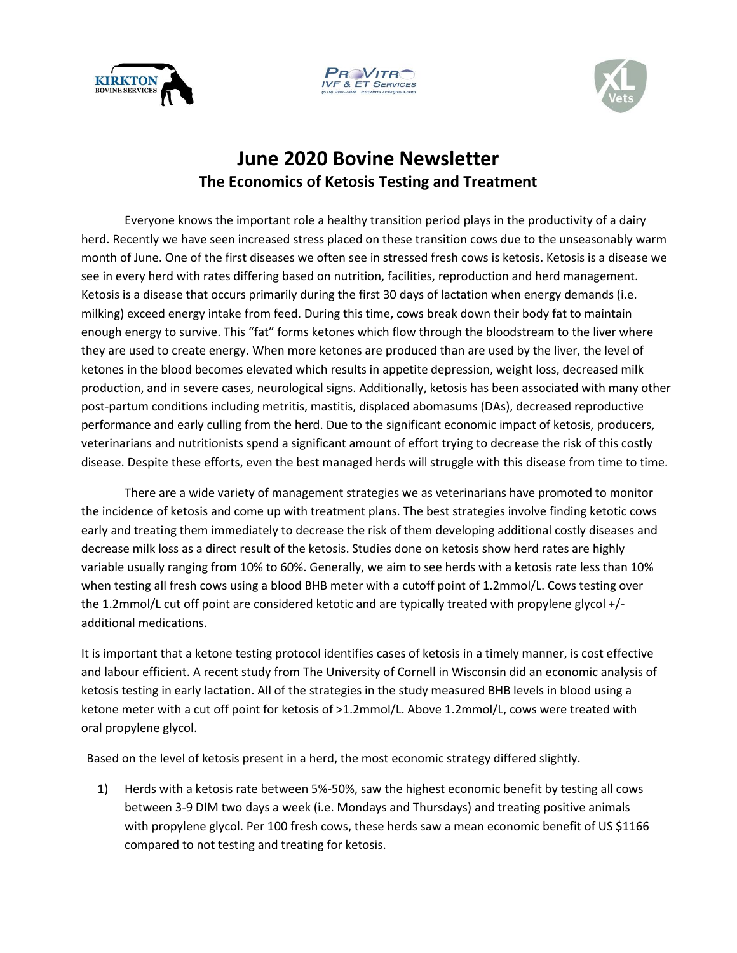





## **June 2020 Bovine Newsletter The Economics of Ketosis Testing and Treatment**

Everyone knows the important role a healthy transition period plays in the productivity of a dairy herd. Recently we have seen increased stress placed on these transition cows due to the unseasonably warm month of June. One of the first diseases we often see in stressed fresh cows is ketosis. Ketosis is a disease we see in every herd with rates differing based on nutrition, facilities, reproduction and herd management. Ketosis is a disease that occurs primarily during the first 30 days of lactation when energy demands (i.e. milking) exceed energy intake from feed. During this time, cows break down their body fat to maintain enough energy to survive. This "fat" forms ketones which flow through the bloodstream to the liver where they are used to create energy. When more ketones are produced than are used by the liver, the level of ketones in the blood becomes elevated which results in appetite depression, weight loss, decreased milk production, and in severe cases, neurological signs. Additionally, ketosis has been associated with many other post-partum conditions including metritis, mastitis, displaced abomasums (DAs), decreased reproductive performance and early culling from the herd. Due to the significant economic impact of ketosis, producers, veterinarians and nutritionists spend a significant amount of effort trying to decrease the risk of this costly disease. Despite these efforts, even the best managed herds will struggle with this disease from time to time.

There are a wide variety of management strategies we as veterinarians have promoted to monitor the incidence of ketosis and come up with treatment plans. The best strategies involve finding ketotic cows early and treating them immediately to decrease the risk of them developing additional costly diseases and decrease milk loss as a direct result of the ketosis. Studies done on ketosis show herd rates are highly variable usually ranging from 10% to 60%. Generally, we aim to see herds with a ketosis rate less than 10% when testing all fresh cows using a blood BHB meter with a cutoff point of 1.2mmol/L. Cows testing over the 1.2mmol/L cut off point are considered ketotic and are typically treated with propylene glycol +/ additional medications.

It is important that a ketone testing protocol identifies cases of ketosis in a timely manner, is cost effective and labour efficient. A recent study from The University of Cornell in Wisconsin did an economic analysis of ketosis testing in early lactation. All of the strategies in the study measured BHB levels in blood using a ketone meter with a cut off point for ketosis of >1.2mmol/L. Above 1.2mmol/L, cows were treated with oral propylene glycol.

Based on the level of ketosis present in a herd, the most economic strategy differed slightly.

1) Herds with a ketosis rate between 5%-50%, saw the highest economic benefit by testing all cows between 3-9 DIM two days a week (i.e. Mondays and Thursdays) and treating positive animals with propylene glycol. Per 100 fresh cows, these herds saw a mean economic benefit of US \$1166 compared to not testing and treating for ketosis.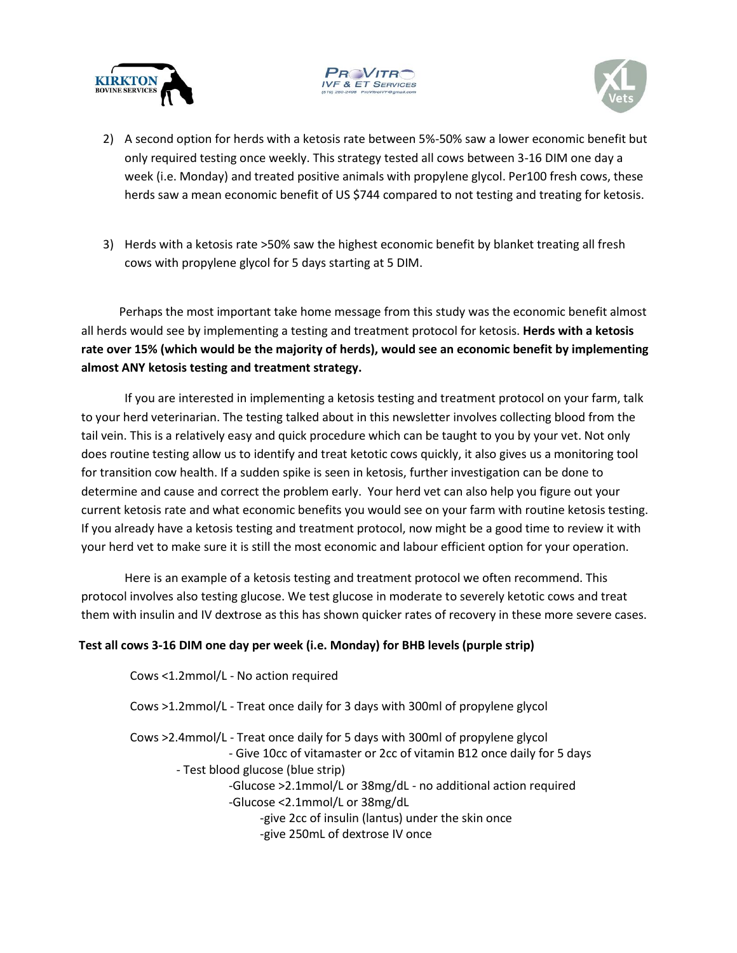





- 2) A second option for herds with a ketosis rate between 5%-50% saw a lower economic benefit but only required testing once weekly. This strategy tested all cows between 3-16 DIM one day a week (i.e. Monday) and treated positive animals with propylene glycol. Per100 fresh cows, these herds saw a mean economic benefit of US \$744 compared to not testing and treating for ketosis.
- 3) Herds with a ketosis rate >50% saw the highest economic benefit by blanket treating all fresh cows with propylene glycol for 5 days starting at 5 DIM.

Perhaps the most important take home message from this study was the economic benefit almost all herds would see by implementing a testing and treatment protocol for ketosis. **Herds with a ketosis rate over 15% (which would be the majority of herds), would see an economic benefit by implementing almost ANY ketosis testing and treatment strategy.**

If you are interested in implementing a ketosis testing and treatment protocol on your farm, talk to your herd veterinarian. The testing talked about in this newsletter involves collecting blood from the tail vein. This is a relatively easy and quick procedure which can be taught to you by your vet. Not only does routine testing allow us to identify and treat ketotic cows quickly, it also gives us a monitoring tool for transition cow health. If a sudden spike is seen in ketosis, further investigation can be done to determine and cause and correct the problem early. Your herd vet can also help you figure out your current ketosis rate and what economic benefits you would see on your farm with routine ketosis testing. If you already have a ketosis testing and treatment protocol, now might be a good time to review it with your herd vet to make sure it is still the most economic and labour efficient option for your operation.

Here is an example of a ketosis testing and treatment protocol we often recommend. This protocol involves also testing glucose. We test glucose in moderate to severely ketotic cows and treat them with insulin and IV dextrose as this has shown quicker rates of recovery in these more severe cases.

## **Test all cows 3-16 DIM one day per week (i.e. Monday) for BHB levels (purple strip)**

Cows <1.2mmol/L - No action required Cows >1.2mmol/L - Treat once daily for 3 days with 300ml of propylene glycol Cows >2.4mmol/L - Treat once daily for 5 days with 300ml of propylene glycol - Give 10cc of vitamaster or 2cc of vitamin B12 once daily for 5 days - Test blood glucose (blue strip) -Glucose >2.1mmol/L or 38mg/dL - no additional action required -Glucose <2.1mmol/L or 38mg/dL -give 2cc of insulin (lantus) under the skin once -give 250mL of dextrose IV once